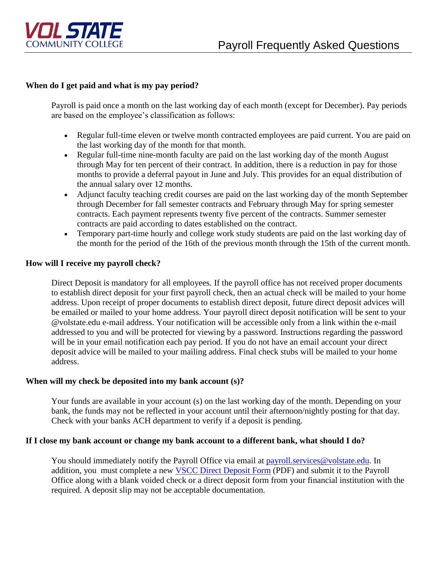

# **When do I get paid and what is my pay period?**

Payroll is paid once a month on the last working day of each month (except for December). Pay periods are based on the employee's classification as follows:

- Regular full-time eleven or twelve month contracted employees are paid current. You are paid on the last working day of the month for that month.
- Regular full-time nine-month faculty are paid on the last working day of the month August through May for ten percent of their contract. In addition, there is a reduction in pay for those months to provide a deferral payout in June and July. This provides for an equal distribution of the annual salary over 12 months.
- Adjunct faculty teaching credit courses are paid on the last working day of the month September through December for fall semester contracts and February through May for spring semester contracts. Each payment represents twenty five percent of the contracts. Summer semester contracts are paid according to dates established on the contract.
- Temporary part-time hourly and college work study students are paid on the last working day of the month for the period of the 16th of the previous month through the 15th of the current month.

# **How will I receive my payroll check?**

Direct Deposit is mandatory for all employees. If the payroll office has not received proper documents to establish direct deposit for your first payroll check, then an actual check will be mailed to your home address. Upon receipt of proper documents to establish direct deposit, future direct deposit advices will be emailed or mailed to your home address. Your payroll direct deposit notification will be sent to your @volstate.edu e-mail address. Your notification will be accessible only from a link within the e-mail addressed to you and will be protected for viewing by a password. Instructions regarding the password will be in your email notification each pay period. If you do not have an email account your direct deposit advice will be mailed to your mailing address. Final check stubs will be mailed to your home address.

## **When will my check be deposited into my bank account (s)?**

Your funds are available in your account (s) on the last working day of the month. Depending on your bank, the funds may not be reflected in your account until their afternoon/nightly posting for that day. Check with your banks ACH department to verify if a deposit is pending.

### **If I close my bank account or change my bank account to a different bank, what should I do?**

You should immediately notify the Payroll Office via email at [payroll.services@volstate.edu.](mailto:payroll.services@volstate.edu) In addition, you must complete a new [VSCC Direct Deposit Form](http://www.volstate.edu/HR/documents/VSCC-DirDeposit.pdf) (PDF) and submit it to the Payroll Office along with a blank voided check or a direct deposit form from your financial institution with the required. A deposit slip may not be acceptable documentation.